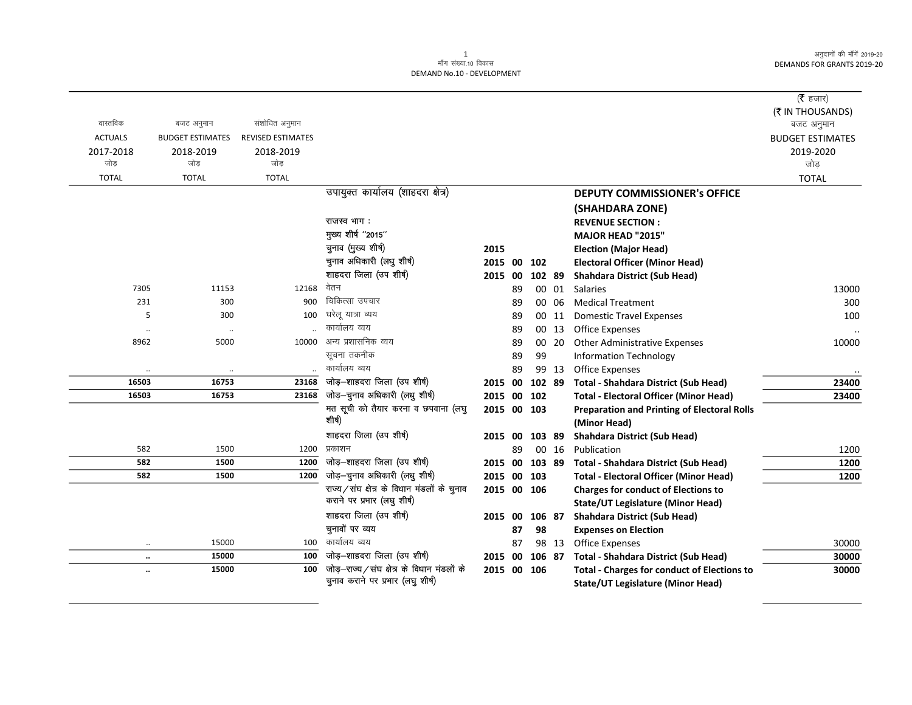## 1 ek¡x l a[;k-10 fodkl DEMAND No.10 - DEVELOPMENT

|                |                         |                          |                                               |             |    |                 |       |                                                                    | ( $\bar{\tau}$ हजार)           |
|----------------|-------------------------|--------------------------|-----------------------------------------------|-------------|----|-----------------|-------|--------------------------------------------------------------------|--------------------------------|
| वास्तविक       | बजट अनुमान              | संशोधित अनुमान           |                                               |             |    |                 |       |                                                                    | (₹ IN THOUSANDS)<br>बजट अनुमान |
| <b>ACTUALS</b> | <b>BUDGET ESTIMATES</b> | <b>REVISED ESTIMATES</b> |                                               |             |    |                 |       |                                                                    | <b>BUDGET ESTIMATES</b>        |
| 2017-2018      | 2018-2019               | 2018-2019                |                                               |             |    |                 |       |                                                                    | 2019-2020                      |
| जोड            | जोड                     | जोड                      |                                               |             |    |                 |       |                                                                    | जोड                            |
| <b>TOTAL</b>   | <b>TOTAL</b>            | <b>TOTAL</b>             |                                               |             |    |                 |       |                                                                    | <b>TOTAL</b>                   |
|                |                         |                          | उपायुक्त कार्यालय (शाहदरा क्षेत्र)            |             |    |                 |       | <b>DEPUTY COMMISSIONER's OFFICE</b>                                |                                |
|                |                         |                          |                                               |             |    |                 |       | (SHAHDARA ZONE)                                                    |                                |
|                |                         |                          | राजस्व भाग:                                   |             |    |                 |       | <b>REVENUE SECTION:</b>                                            |                                |
|                |                         |                          | मुख्य शीर्ष "2015"                            |             |    |                 |       | MAJOR HEAD "2015"                                                  |                                |
|                |                         |                          | चुनाव (मुख्य शीर्ष)                           | 2015        |    |                 |       | <b>Election (Major Head)</b>                                       |                                |
|                |                         |                          | चुनाव अधिकारी (लधु शीर्ष)                     | 2015 00     |    | 102             |       | <b>Electoral Officer (Minor Head)</b>                              |                                |
|                |                         |                          | शाहदरा जिला (उप शीर्ष)                        | 2015 00     |    | 102 89          |       | <b>Shahdara District (Sub Head)</b>                                |                                |
| 7305           | 11153                   | 12168                    | वेतन                                          |             | 89 |                 | 00 01 | <b>Salaries</b>                                                    | 13000                          |
| 231            | 300                     | 900                      | चिकित्सा उपचार                                |             | 89 |                 | 00 06 | <b>Medical Treatment</b>                                           | 300                            |
| 5              | 300                     | 100                      | घरेलू यात्रा व्यय                             |             | 89 | 00              | 11    | <b>Domestic Travel Expenses</b>                                    | 100                            |
| $\ddotsc$      | $\ldots$                |                          | कार्यालय व्यय                                 |             | 89 | 00              | 13    | Office Expenses                                                    |                                |
| 8962           | 5000                    | 10000                    | अन्य प्रशासनिक व्यय                           |             | 89 | 00 <sup>°</sup> | 20    | <b>Other Administrative Expenses</b>                               | 10000                          |
|                |                         |                          | सूचना तकनीक                                   |             | 89 | 99              |       | <b>Information Technology</b>                                      |                                |
| $\ddotsc$      | $\ldots$                |                          | कार्यालय व्यय                                 |             | 89 |                 | 99 13 | <b>Office Expenses</b>                                             |                                |
| 16503          | 16753                   | 23168                    | जोड़-शाहदरा जिला (उप शीर्ष)                   | 2015        | 00 | 102 89          |       | <b>Total - Shahdara District (Sub Head)</b>                        | 23400                          |
| 16503          | 16753                   | 23168                    | जोड़-चुनाव अधिकारी (लधु शीर्ष)                | 2015        | 00 | 102             |       | <b>Total - Electoral Officer (Minor Head)</b>                      | 23400                          |
|                |                         |                          | मत सूची को तैयार करना व छपवाना (लघु<br>शीर्ष) | 2015 00 103 |    |                 |       | <b>Preparation and Printing of Electoral Rolls</b><br>(Minor Head) |                                |
|                |                         |                          | शाहदरा जिला (उप शीर्ष)                        | 2015 00     |    | 103 89          |       | <b>Shahdara District (Sub Head)</b>                                |                                |
| 582            | 1500                    | 1200                     | प्रकाशन                                       |             | 89 |                 | 00 16 | Publication                                                        | 1200                           |
| 582            | 1500                    | 1200                     | जोड़-शाहदरा जिला (उप शीर्ष)                   | 2015        | 00 | 103 89          |       | <b>Total - Shahdara District (Sub Head)</b>                        | 1200                           |
| 582            | 1500                    | 1200                     | जोड़-चुनाव अधिकारी (लधु शीर्ष)                | 2015 00     |    | 103             |       | <b>Total - Electoral Officer (Minor Head)</b>                      | 1200                           |
|                |                         |                          | राज्य/संघ क्षेत्र के विधान मंडलों के चुनाव    | 2015 00 106 |    |                 |       | <b>Charges for conduct of Elections to</b>                         |                                |
|                |                         |                          | कराने पर प्रभार (लघु शीर्ष)                   |             |    |                 |       | <b>State/UT Legislature (Minor Head)</b>                           |                                |
|                |                         |                          | शाहदरा जिला (उप शीर्ष)                        | 2015 00     |    | 106 87          |       | <b>Shahdara District (Sub Head)</b>                                |                                |
|                |                         |                          | चुनावों पर व्यय                               |             | 87 | 98              |       | <b>Expenses on Election</b>                                        |                                |
| $\ddotsc$      | 15000                   | 100                      | कार्यालय व्यय                                 |             | 87 |                 | 98 13 | <b>Office Expenses</b>                                             | 30000                          |
| $\ddotsc$      | 15000                   | 100                      | जोड़-शाहदरा जिला (उप शीर्ष)                   | 2015 00     |    | 106 87          |       | <b>Total - Shahdara District (Sub Head)</b>                        | 30000                          |
| $\ddotsc$      | 15000                   | 100                      | जोड़-राज्य/संघ क्षेत्र के विधान मंडलों के     | 2015 00 106 |    |                 |       | <b>Total - Charges for conduct of Elections to</b>                 | 30000                          |
|                |                         |                          | चुनाव कराने पर प्रभार (लघु शीर्ष)             |             |    |                 |       | <b>State/UT Legislature (Minor Head)</b>                           |                                |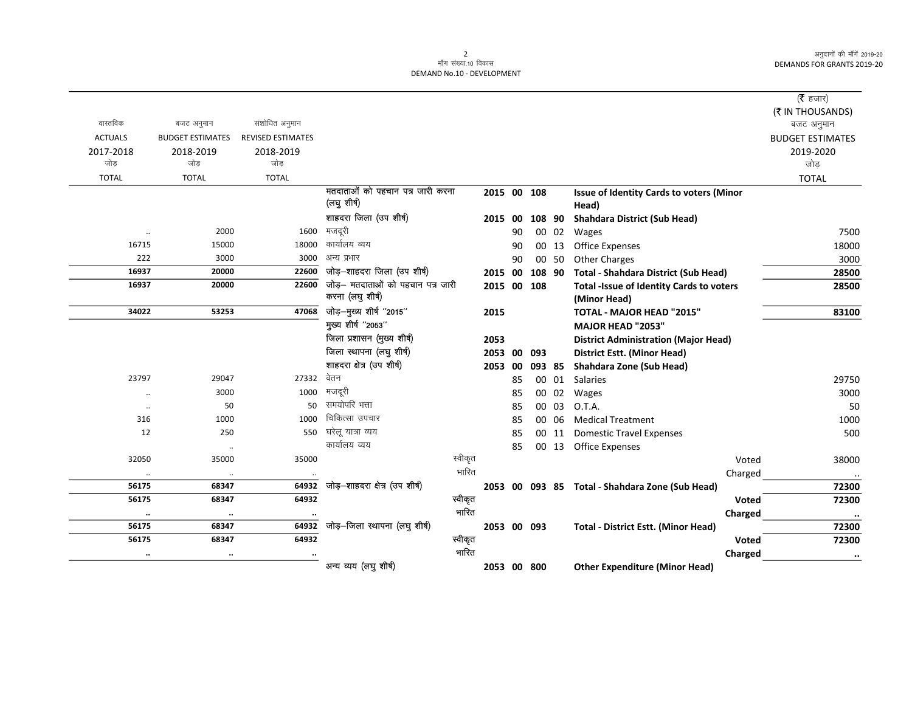## 2<br>माँग संख्या.10 विकास DEMAND No.10 - DEVELOPMENT

|                |                         |                          |                                                 |         |             |     |        |       |                                                          |         | ( $\bar{\tau}$ हजार)           |
|----------------|-------------------------|--------------------------|-------------------------------------------------|---------|-------------|-----|--------|-------|----------------------------------------------------------|---------|--------------------------------|
| वास्तविक       | बजट अनुमान              | संशोधित अनुमान           |                                                 |         |             |     |        |       |                                                          |         | (₹ IN THOUSANDS)<br>बजट अनुमान |
| <b>ACTUALS</b> | <b>BUDGET ESTIMATES</b> | <b>REVISED ESTIMATES</b> |                                                 |         |             |     |        |       |                                                          |         | <b>BUDGET ESTIMATES</b>        |
| 2017-2018      | 2018-2019               | 2018-2019                |                                                 |         |             |     |        |       |                                                          |         | 2019-2020                      |
| जोड            | जोड                     | जोड                      |                                                 |         |             |     |        |       |                                                          |         | जोड                            |
| <b>TOTAL</b>   | <b>TOTAL</b>            | <b>TOTAL</b>             |                                                 |         |             |     |        |       |                                                          |         | <b>TOTAL</b>                   |
|                |                         |                          | मतदाताओं को पहचान पत्र जारी करना<br>(लघु शीर्ष) |         | 2015 00 108 |     |        |       | <b>Issue of Identity Cards to voters (Minor</b><br>Head) |         |                                |
|                |                         |                          | शाहदरा जिला (उप शीर्ष)                          |         | 2015 00     |     | 108 90 |       | <b>Shahdara District (Sub Head)</b>                      |         |                                |
| $\ddotsc$      | 2000                    | 1600                     | मजदूरी                                          |         |             | 90  |        | 00 02 | Wages                                                    |         | 7500                           |
| 16715          | 15000                   | 18000                    | कार्यालय व्यय                                   |         |             | 90  |        | 00 13 | <b>Office Expenses</b>                                   |         | 18000                          |
| 222            | 3000                    | 3000                     | अन्य प्रभार                                     |         |             | 90  |        | 00 50 | <b>Other Charges</b>                                     |         | 3000                           |
| 16937          | 20000                   | 22600                    | जोड़-शाहदरा जिला (उप शीर्ष)                     |         | 2015        | 00  | 108 90 |       | <b>Total - Shahdara District (Sub Head)</b>              |         | 28500                          |
| 16937          | 20000                   | 22600                    | जोड़- मतदाताओं को पहचान पत्र जारी               |         | 2015 00 108 |     |        |       | <b>Total -Issue of Identity Cards to voters</b>          |         | 28500                          |
|                |                         |                          | करना (लघु शीर्ष)                                |         |             |     |        |       | (Minor Head)                                             |         |                                |
| 34022          | 53253                   | 47068                    | जोड़-मुख्य शीर्ष "2015"                         |         | 2015        |     |        |       | TOTAL - MAJOR HEAD "2015"                                |         | 83100                          |
|                |                         |                          | मुख्य शीर्ष "2053"                              |         |             |     |        |       | MAJOR HEAD "2053"                                        |         |                                |
|                |                         |                          | जिला प्रशासन (मुख्य शीर्ष)                      |         | 2053        |     |        |       | <b>District Administration (Major Head)</b>              |         |                                |
|                |                         |                          | जिला स्थापना (लघु शीर्ष)                        |         | 2053 00 093 |     |        |       | <b>District Estt. (Minor Head)</b>                       |         |                                |
|                |                         |                          | शाहदरा क्षेत्र (उप शीर्ष)                       |         | 2053        | -00 | 093 85 |       | Shahdara Zone (Sub Head)                                 |         |                                |
| 23797          | 29047                   | 27332                    | वेतन                                            |         |             | 85  |        | 00 01 | <b>Salaries</b>                                          |         | 29750                          |
| $\ddotsc$      | 3000                    | 1000                     | मजदूरी                                          |         |             | 85  |        | 00 02 | Wages                                                    |         | 3000                           |
| $\cdot\cdot$   | 50                      | 50                       | समयोपरि भत्ता                                   |         |             | 85  |        | 00 03 | O.T.A.                                                   |         | 50                             |
| 316            | 1000                    | 1000                     | चिकित्सा उपचार                                  |         |             | 85  |        | 00 06 | <b>Medical Treatment</b>                                 |         | 1000                           |
| 12             | 250                     | 550                      | घरेलू यात्रा व्यय                               |         |             | 85  |        | 00 11 | <b>Domestic Travel Expenses</b>                          |         | 500                            |
|                | $\cdot\cdot$            |                          | कार्यालय व्यय                                   |         |             | 85  |        |       | 00 13 Office Expenses                                    |         |                                |
| 32050          | 35000                   | 35000                    |                                                 | स्वीकृत |             |     |        |       |                                                          | Voted   | 38000                          |
|                | $\ldots$                |                          |                                                 | भारित   |             |     |        |       |                                                          | Charged |                                |
| 56175          | 68347                   | 64932                    | जोड़-शाहदरा क्षेत्र (उप शीर्ष)                  |         |             |     |        |       | 2053 00 093 85 Total - Shahdara Zone (Sub Head)          |         | 72300                          |
| 56175          | 68347                   | 64932                    |                                                 | स्वीकृत |             |     |        |       |                                                          | Voted   | 72300                          |
| $\ddotsc$      | $\ldots$                |                          |                                                 | भारित   |             |     |        |       |                                                          | Charged | $\ddotsc$                      |
| 56175          | 68347                   | 64932                    | जोड़-जिला स्थापना (लघु शीर्ष)                   |         | 2053 00 093 |     |        |       | <b>Total - District Estt. (Minor Head)</b>               |         | 72300                          |
| 56175          | 68347                   | 64932                    |                                                 | स्वीकृत |             |     |        |       |                                                          | Voted   | 72300                          |
| $\cdots$       | $\cdots$                |                          |                                                 | भारित   |             |     |        |       |                                                          | Charged | $\bullet\bullet$               |
|                |                         |                          | अन्य व्यय (लघु शीर्ष)                           |         | 2053 00 800 |     |        |       | <b>Other Expenditure (Minor Head)</b>                    |         |                                |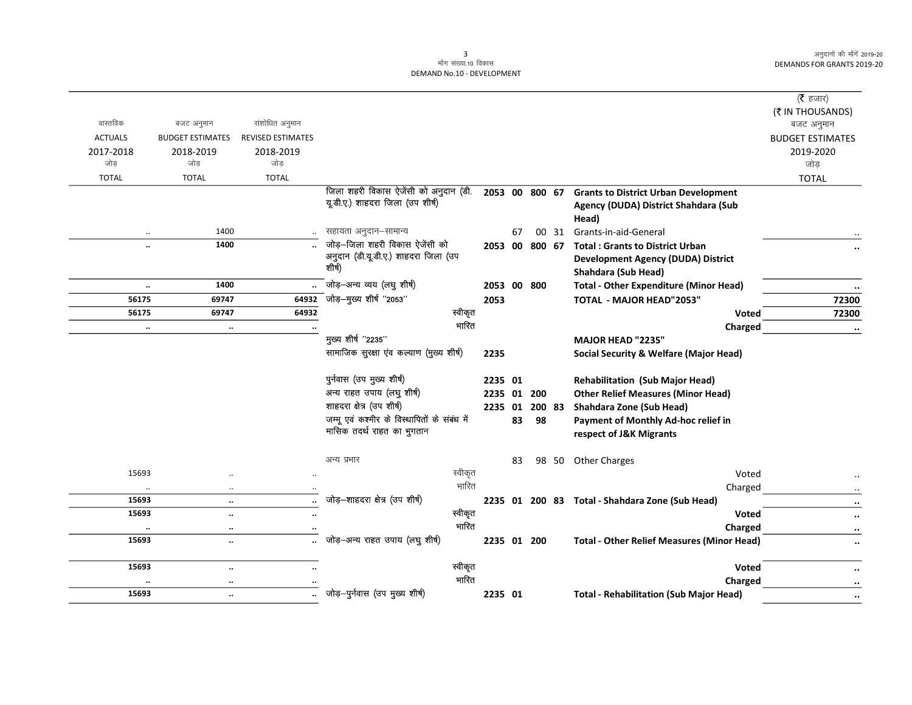## 3<br>माँग संख्या.10 विकास DEMAND No.10 - DEVELOPMENT

| वास्तविक                    |                                      |                                            |                                              |             |    |    |        |                                                     | ( $\bar{\tau}$ हजार)<br>(₹ IN THOUSANDS) |
|-----------------------------|--------------------------------------|--------------------------------------------|----------------------------------------------|-------------|----|----|--------|-----------------------------------------------------|------------------------------------------|
|                             | बजट अनुमान                           | संशोधित अनुमान<br><b>REVISED ESTIMATES</b> |                                              |             |    |    |        |                                                     | बजट अनुमान                               |
| <b>ACTUALS</b><br>2017-2018 | <b>BUDGET ESTIMATES</b><br>2018-2019 | 2018-2019                                  |                                              |             |    |    |        |                                                     | <b>BUDGET ESTIMATES</b><br>2019-2020     |
| जोड                         | जोड                                  | जोड                                        |                                              |             |    |    |        |                                                     | जोड़                                     |
| <b>TOTAL</b>                | <b>TOTAL</b>                         | <b>TOTAL</b>                               |                                              |             |    |    |        |                                                     | <b>TOTAL</b>                             |
|                             |                                      |                                            | जिला शहरी विकास ऐजेंसी को अनुदान (डी.        |             |    |    |        | 2053 00 800 67 Grants to District Urban Development |                                          |
|                             |                                      |                                            | यूडी.ए.) शाहदरा जिला (उप शीर्ष)              |             |    |    |        | Agency (DUDA) District Shahdara (Sub                |                                          |
|                             |                                      |                                            |                                              |             |    |    |        | Head)                                               |                                          |
| ٠.                          | 1400                                 |                                            | सहायता अनुदान–सामान्य                        |             | 67 |    |        | 00 31 Grants-in-aid-General                         |                                          |
|                             | 1400                                 |                                            | जोड़-जिला शहरी विकास ऐजेंसी को               | 2053 00     |    |    |        | 800 67 Total: Grants to District Urban              |                                          |
|                             |                                      |                                            | अनुदान (डी.यू.डी.ए.) शाहदरा जिला (उप         |             |    |    |        | <b>Development Agency (DUDA) District</b>           |                                          |
|                             |                                      |                                            | शीर्ष)                                       |             |    |    |        | <b>Shahdara (Sub Head)</b>                          |                                          |
| $\ddotsc$                   | 1400                                 |                                            | जोड़-अन्य व्यय (लघु शीर्ष)                   | 2053 00 800 |    |    |        | <b>Total - Other Expenditure (Minor Head)</b>       |                                          |
| 56175                       | 69747                                | 64932                                      | .<br>जोड़–मुख्य शीर्ष "2053"                 | 2053        |    |    |        | TOTAL - MAJOR HEAD"2053"                            | 72300                                    |
| 56175                       | 69747                                | 64932                                      | स्वीकृत                                      |             |    |    |        | Voted                                               | 72300                                    |
| $\ddotsc$                   | $\ddotsc$                            |                                            | भारित                                        |             |    |    |        | Charged                                             | $\ddotsc$                                |
|                             |                                      |                                            | मुख्य शीर्ष "2235"                           |             |    |    |        | <b>MAJOR HEAD "2235"</b>                            |                                          |
|                             |                                      |                                            | सामाजिक सुरक्षा एव कल्याण (मुख्य शीर्ष)      | 2235        |    |    |        | <b>Social Security &amp; Welfare (Major Head)</b>   |                                          |
|                             |                                      |                                            |                                              |             |    |    |        |                                                     |                                          |
|                             |                                      |                                            | पुर्नवास (उप मुख्य शीर्ष)                    | 2235 01     |    |    |        | <b>Rehabilitation (Sub Major Head)</b>              |                                          |
|                             |                                      |                                            | अन्य राहत उपाय (लघु शीर्ष)                   | 2235 01 200 |    |    |        | <b>Other Relief Measures (Minor Head)</b>           |                                          |
|                             |                                      |                                            | शाहदरा क्षेत्र (उप शीर्ष)                    | 2235 01     |    |    | 200 83 | Shahdara Zone (Sub Head)                            |                                          |
|                             |                                      |                                            | जम्मू एवं कश्मीर के विस्थापितों के संबंध में |             | 83 | 98 |        | Payment of Monthly Ad-hoc relief in                 |                                          |
|                             |                                      |                                            | मासिक तदर्थ राहत का भुगतान                   |             |    |    |        | respect of J&K Migrants                             |                                          |
|                             |                                      |                                            |                                              |             |    |    |        |                                                     |                                          |
|                             |                                      |                                            | अन्य प्रभार                                  |             | 83 | 98 | 50     | <b>Other Charges</b>                                |                                          |
| 15693                       |                                      |                                            | स्वीकृत                                      |             |    |    |        | Voted                                               |                                          |
| $\ddot{\phantom{a}}$        | $\cdot$                              |                                            | भारित                                        |             |    |    |        | Charged                                             |                                          |
| 15693                       | $\ddotsc$                            |                                            | जोड़-शाहदरा क्षेत्र (उप शीर्ष)               |             |    |    |        | 2235 01 200 83 Total - Shahdara Zone (Sub Head)     | $\cdot\cdot$                             |
| 15693                       | $\ddot{\phantom{a}}$                 |                                            | स्वीकृत<br>भारित                             |             |    |    |        | Voted                                               | $\ddot{\phantom{0}}$                     |
| $\cdot\cdot$                | $\cdots$                             |                                            | जोड़-अन्य राहत उपाय (लघु शीर्ष)              |             |    |    |        | Charged                                             | $\ddot{\phantom{0}}$                     |
| 15693                       | $\ddotsc$                            |                                            |                                              | 2235 01 200 |    |    |        | <b>Total - Other Relief Measures (Minor Head)</b>   |                                          |
| 15693                       | $\ddotsc$                            | $\ddot{\phantom{a}}$                       | स्वीकृत                                      |             |    |    |        | <b>Voted</b>                                        |                                          |
| $\ddot{\phantom{0}}$        | $\cdot\cdot$                         |                                            | भारित                                        |             |    |    |        | Charged                                             | $\cdot\cdot$                             |
| 15693                       | $\ddotsc$                            |                                            | जोड़-पुर्नवास (उप मुख्य शीर्ष)               | 2235 01     |    |    |        | <b>Total - Rehabilitation (Sub Major Head)</b>      | $\cdots$                                 |
|                             |                                      |                                            |                                              |             |    |    |        |                                                     |                                          |